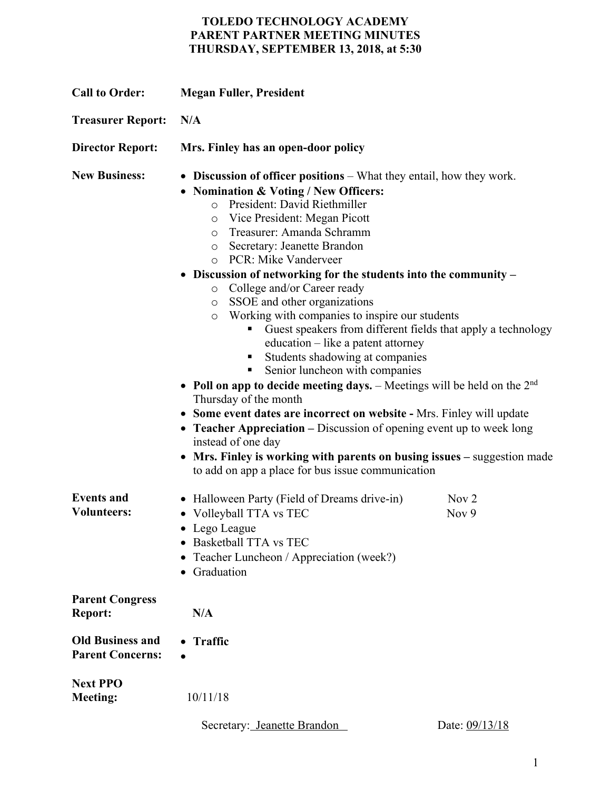## **TOLEDO TECHNOLOGY ACADEMY PARENT PARTNER MEETING MINUTES THURSDAY, SEPTEMBER 13, 2018, at 5:30**

| <b>Call to Order:</b>                              | <b>Megan Fuller, President</b>                                                                                                                                                                                                                                                                                                                                                                                                                                                                                                                                                                                                                                                                                                                                                                                                                                                                                                                                                                                                                                                                                                                                |                           |
|----------------------------------------------------|---------------------------------------------------------------------------------------------------------------------------------------------------------------------------------------------------------------------------------------------------------------------------------------------------------------------------------------------------------------------------------------------------------------------------------------------------------------------------------------------------------------------------------------------------------------------------------------------------------------------------------------------------------------------------------------------------------------------------------------------------------------------------------------------------------------------------------------------------------------------------------------------------------------------------------------------------------------------------------------------------------------------------------------------------------------------------------------------------------------------------------------------------------------|---------------------------|
| <b>Treasurer Report:</b>                           | N/A                                                                                                                                                                                                                                                                                                                                                                                                                                                                                                                                                                                                                                                                                                                                                                                                                                                                                                                                                                                                                                                                                                                                                           |                           |
| <b>Director Report:</b>                            | Mrs. Finley has an open-door policy                                                                                                                                                                                                                                                                                                                                                                                                                                                                                                                                                                                                                                                                                                                                                                                                                                                                                                                                                                                                                                                                                                                           |                           |
| <b>New Business:</b>                               | • Discussion of officer positions – What they entail, how they work.<br>• Nomination & Voting / New Officers:<br>President: David Riethmiller<br>$\circ$<br>Vice President: Megan Picott<br>$\circ$<br>Treasurer: Amanda Schramm<br>$\circ$<br>Secretary: Jeanette Brandon<br>$\circ$<br>PCR: Mike Vanderveer<br>$\circ$<br>• Discussion of networking for the students into the community –<br>College and/or Career ready<br>$\circ$<br>SSOE and other organizations<br>$\circ$<br>Working with companies to inspire our students<br>$\circ$<br>Guest speakers from different fields that apply a technology<br>education – like a patent attorney<br>Students shadowing at companies<br>٠<br>Senior luncheon with companies<br>п<br>• Poll on app to decide meeting days. - Meetings will be held on the $2nd$<br>Thursday of the month<br>• Some event dates are incorrect on website - Mrs. Finley will update<br>• Teacher Appreciation - Discussion of opening event up to week long<br>instead of one day<br>Mrs. Finley is working with parents on busing issues – suggestion made<br>$\bullet$<br>to add on app a place for bus issue communication |                           |
| <b>Events and</b><br><b>Volunteers:</b>            | • Halloween Party (Field of Dreams drive-in)<br>• Volleyball TTA vs TEC<br>• Lego League<br>• Basketball TTA vs TEC<br>• Teacher Luncheon / Appreciation (week?)<br>• Graduation                                                                                                                                                                                                                                                                                                                                                                                                                                                                                                                                                                                                                                                                                                                                                                                                                                                                                                                                                                              | Nov <sub>2</sub><br>Nov 9 |
| <b>Parent Congress</b><br><b>Report:</b>           | N/A                                                                                                                                                                                                                                                                                                                                                                                                                                                                                                                                                                                                                                                                                                                                                                                                                                                                                                                                                                                                                                                                                                                                                           |                           |
| <b>Old Business and</b><br><b>Parent Concerns:</b> | • Traffic                                                                                                                                                                                                                                                                                                                                                                                                                                                                                                                                                                                                                                                                                                                                                                                                                                                                                                                                                                                                                                                                                                                                                     |                           |
| <b>Next PPO</b><br><b>Meeting:</b>                 | 10/11/18                                                                                                                                                                                                                                                                                                                                                                                                                                                                                                                                                                                                                                                                                                                                                                                                                                                                                                                                                                                                                                                                                                                                                      |                           |

Secretary: Jeanette Brandon Date: 09/13/18